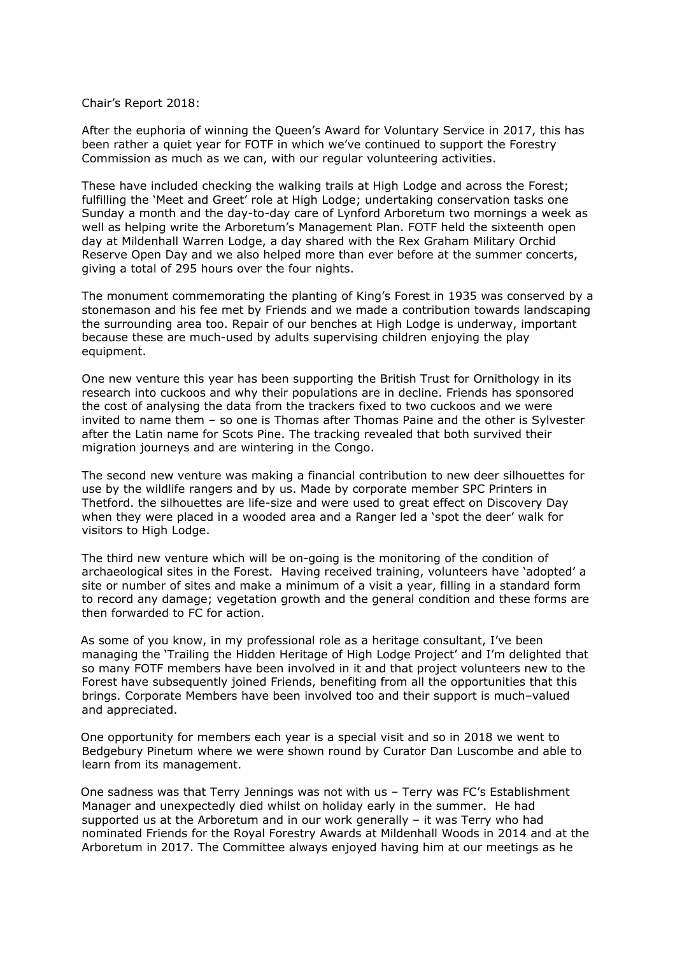Chair's Report 2018:

After the euphoria of winning the Queen's Award for Voluntary Service in 2017, this has been rather a quiet year for FOTF in which we've continued to support the Forestry Commission as much as we can, with our regular volunteering activities.

These have included checking the walking trails at High Lodge and across the Forest; fulfilling the 'Meet and Greet' role at High Lodge; undertaking conservation tasks one Sunday a month and the day-to-day care of Lynford Arboretum two mornings a week as well as helping write the Arboretum's Management Plan. FOTF held the sixteenth open day at Mildenhall Warren Lodge, a day shared with the Rex Graham Military Orchid Reserve Open Day and we also helped more than ever before at the summer concerts, giving a total of 295 hours over the four nights.

The monument commemorating the planting of King's Forest in 1935 was conserved by a stonemason and his fee met by Friends and we made a contribution towards landscaping the surrounding area too. Repair of our benches at High Lodge is underway, important because these are much-used by adults supervising children enjoying the play equipment.

One new venture this year has been supporting the British Trust for Ornithology in its research into cuckoos and why their populations are in decline. Friends has sponsored the cost of analysing the data from the trackers fixed to two cuckoos and we were invited to name them – so one is Thomas after Thomas Paine and the other is Sylvester after the Latin name for Scots Pine. The tracking revealed that both survived their migration journeys and are wintering in the Congo.

The second new venture was making a financial contribution to new deer silhouettes for use by the wildlife rangers and by us. Made by corporate member SPC Printers in Thetford. the silhouettes are life-size and were used to great effect on Discovery Day when they were placed in a wooded area and a Ranger led a 'spot the deer' walk for visitors to High Lodge.

The third new venture which will be on-going is the monitoring of the condition of archaeological sites in the Forest. Having received training, volunteers have 'adopted' a site or number of sites and make a minimum of a visit a year, filling in a standard form to record any damage; vegetation growth and the general condition and these forms are then forwarded to FC for action.

 As some of you know, in my professional role as a heritage consultant, I've been managing the 'Trailing the Hidden Heritage of High Lodge Project' and I'm delighted that so many FOTF members have been involved in it and that project volunteers new to the Forest have subsequently joined Friends, benefiting from all the opportunities that this brings. Corporate Members have been involved too and their support is much–valued and appreciated.

 One opportunity for members each year is a special visit and so in 2018 we went to Bedgebury Pinetum where we were shown round by Curator Dan Luscombe and able to learn from its management.

 One sadness was that Terry Jennings was not with us – Terry was FC's Establishment Manager and unexpectedly died whilst on holiday early in the summer. He had supported us at the Arboretum and in our work generally – it was Terry who had nominated Friends for the Royal Forestry Awards at Mildenhall Woods in 2014 and at the Arboretum in 2017. The Committee always enjoyed having him at our meetings as he